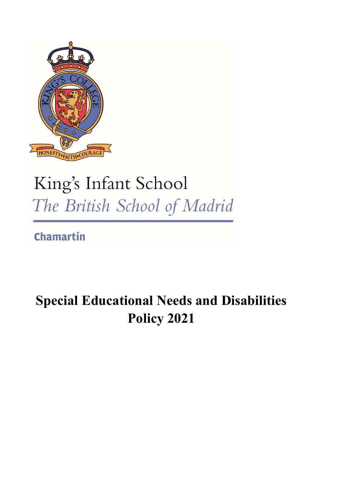

# King's Infant School The British School of Madrid

**Chamartín** 

# **Special Educational Needs and Disabilities Policy 2021**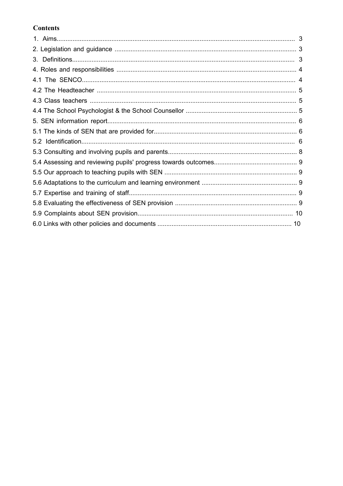# **Contents**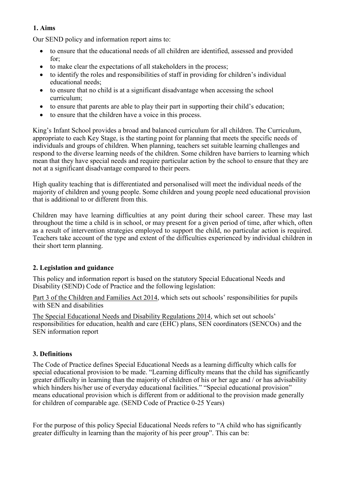# **1. Aims**

Our SEND policy and information report aims to:

- to ensure that the educational needs of all children are identified, assessed and provided for;
- to make clear the expectations of all stakeholders in the process;
- to identify the roles and responsibilities of staff in providing for children's individual educational needs;
- to ensure that no child is at a significant disadvantage when accessing the school curriculum;
- to ensure that parents are able to play their part in supporting their child's education;
- to ensure that the children have a voice in this process.

King's Infant School provides a broad and balanced curriculum for all children. The Curriculum, appropriate to each Key Stage, is the starting point for planning that meets the specific needs of individuals and groups of children. When planning, teachers set suitable learning challenges and respond to the diverse learning needs of the children. Some children have barriers to learning which mean that they have special needs and require particular action by the school to ensure that they are not at a significant disadvantage compared to their peers.

High quality teaching that is differentiated and personalised will meet the individual needs of the majority of children and young people. Some children and young people need educational provision that is additional to or different from this.

Children may have learning difficulties at any point during their school career. These may last throughout the time a child is in school, or may present for a given period of time, after which, often as a result of intervention strategies employed to support the child, no particular action is required. Teachers take account of the type and extent of the difficulties experienced by individual children in their short term planning.

# **2. Legislation and guidance**

This policy and information report is based on the statutory Special Educational Needs and Disability (SEND) Code of Practice and the following legislation:

Part 3 of the Children and Families Act 2014, which sets out schools' responsibilities for pupils with SEN and disabilities

The Special Educational Needs and Disability Regulations 2014, which set out schools' responsibilities for education, health and care (EHC) plans, SEN coordinators (SENCOs) and the SEN information report

# **3. Definitions**

The Code of Practice defines Special Educational Needs as a learning difficulty which calls for special educational provision to be made. "Learning difficulty means that the child has significantly greater difficulty in learning than the majority of children of his or her age and / or has advisability which hinders his/her use of everyday educational facilities." "Special educational provision" means educational provision which is different from or additional to the provision made generally for children of comparable age. (SEND Code of Practice 0-25 Years)

For the purpose of this policy Special Educational Needs refers to "A child who has significantly greater difficulty in learning than the majority of his peer group". This can be: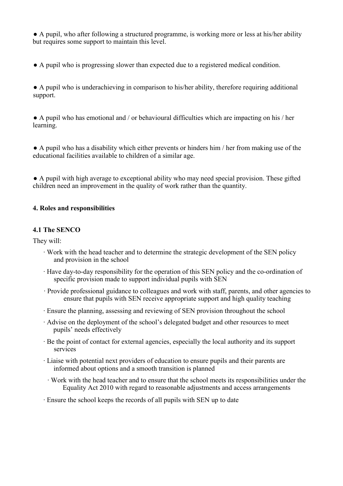● A pupil, who after following a structured programme, is working more or less at his/her ability but requires some support to maintain this level.

● A pupil who is progressing slower than expected due to a registered medical condition.

● A pupil who is underachieving in comparison to his/her ability, therefore requiring additional support.

● A pupil who has emotional and / or behavioural difficulties which are impacting on his / her learning.

● A pupil who has a disability which either prevents or hinders him / her from making use of the educational facilities available to children of a similar age.

● A pupil with high average to exceptional ability who may need special provision. These gifted children need an improvement in the quality of work rather than the quantity.

#### **4. Roles and responsibilities**

#### **4.1 The SENCO**

They will:

- ∙ Work with the head teacher and to determine the strategic development of the SEN policy and provision in the school
- ∙ Have day-to-day responsibility for the operation of this SEN policy and the co-ordination of specific provision made to support individual pupils with SEN
- ∙ Provide professional guidance to colleagues and work with staff, parents, and other agencies to ensure that pupils with SEN receive appropriate support and high quality teaching
- ∙ Ensure the planning, assessing and reviewing of SEN provision throughout the school
- ∙ Advise on the deployment of the school's delegated budget and other resources to meet pupils' needs effectively
- ∙ Be the point of contact for external agencies, especially the local authority and its support services
- ∙ Liaise with potential next providers of education to ensure pupils and their parents are informed about options and a smooth transition is planned
	- ∙ Work with the head teacher and to ensure that the school meets its responsibilities under the Equality Act 2010 with regard to reasonable adjustments and access arrangements
- ∙ Ensure the school keeps the records of all pupils with SEN up to date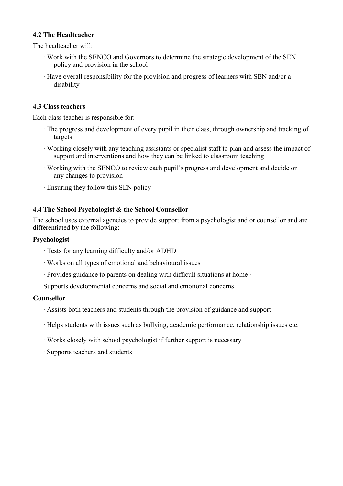#### **4.2 The Headteacher**

The headteacher will:

- ∙ Work with the SENCO and Governors to determine the strategic development of the SEN policy and provision in the school
- ∙ Have overall responsibility for the provision and progress of learners with SEN and/or a disability

#### **4.3 Class teachers**

Each class teacher is responsible for:

- ∙ The progress and development of every pupil in their class, through ownership and tracking of targets
- ∙ Working closely with any teaching assistants or specialist staff to plan and assess the impact of support and interventions and how they can be linked to classroom teaching
- ∙ Working with the SENCO to review each pupil's progress and development and decide on any changes to provision
- ∙ Ensuring they follow this SEN policy

#### **4.4 The School Psychologist & the School Counsellor**

The school uses external agencies to provide support from a psychologist and or counsellor and are differentiated by the following:

#### **Psychologist**

- ∙ Tests for any learning difficulty and/or ADHD
- ∙ Works on all types of emotional and behavioural issues
- ∙ Provides guidance to parents on dealing with difficult situations at home ∙
- Supports developmental concerns and social and emotional concerns

#### **Counsellor**

- ∙ Assists both teachers and students through the provision of guidance and support
- ∙ Helps students with issues such as bullying, academic performance, relationship issues etc.
- ∙ Works closely with school psychologist if further support is necessary
- ∙ Supports teachers and students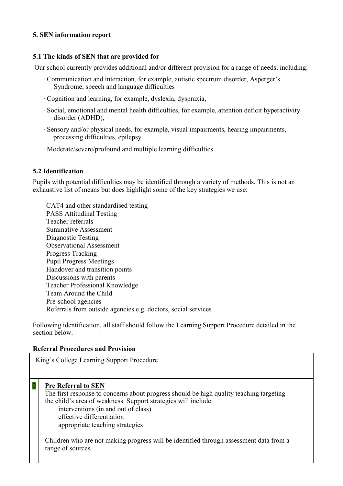#### **5. SEN information report**

#### **5.1 The kinds of SEN that are provided for**

Our school currently provides additional and/or different provision for a range of needs, including:

- ∙ Communication and interaction, for example, autistic spectrum disorder, Asperger's Syndrome, speech and language difficulties
- ∙ Cognition and learning, for example, dyslexia, dyspraxia,
- ∙ Social, emotional and mental health difficulties, for example, attention deficit hyperactivity disorder (ADHD),
- ∙ Sensory and/or physical needs, for example, visual impairments, hearing impairments, processing difficulties, epilepsy
- ∙ Moderate/severe/profound and multiple learning difficulties

#### **5.2 Identification**

Pupils with potential difficulties may be identified through a variety of methods. This is not an exhaustive list of means but does highlight some of the key strategies we use:

- ∙ CAT4 and other standardised testing
- ∙ PASS Attitudinal Testing
- ∙ Teacher referrals
- ∙ Summative Assessment
- ∙ Diagnostic Testing
- ∙ Observational Assessment
- ∙ Progress Tracking
- ∙ Pupil Progress Meetings
- ∙ Handover and transition points
- ∙ Discussions with parents
- ∙ Teacher Professional Knowledge
- ∙ Team Around the Child
- ∙ Pre-school agencies
- ∙ Referrals from outside agencies e.g. doctors, social services

Following identification, all staff should follow the Learning Support Procedure detailed in the section below.

#### **Referral Procedures and Provision**

King's College Learning Support Procedure

# **0 Pre Referral to SEN**

The first response to concerns about progress should be high quality teaching targeting the child's area of weakness. Support strategies will include:

- ∙ interventions (in and out of class)
- ∙ effective differentiation
- ∙ appropriate teaching strategies

Children who are not making progress will be identified through assessment data from a range of sources.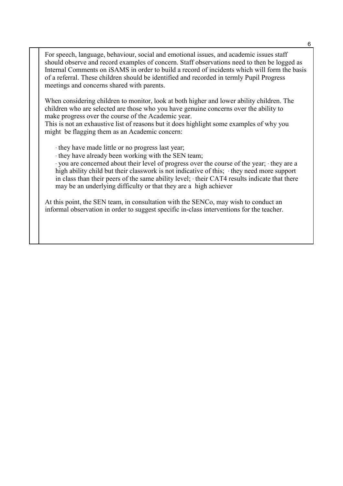For speech, language, behaviour, social and emotional issues, and academic issues staff should observe and record examples of concern. Staff observations need to then be logged as Internal Comments on iSAMS in order to build a record of incidents which will form the basis of a referral. These children should be identified and recorded in termly Pupil Progress meetings and concerns shared with parents.

When considering children to monitor, look at both higher and lower ability children. The children who are selected are those who you have genuine concerns over the ability to make progress over the course of the Academic year.

This is not an exhaustive list of reasons but it does highlight some examples of why you might be flagging them as an Academic concern:

∙ they have made little or no progress last year;

∙ they have already been working with the SEN team;

∙ you are concerned about their level of progress over the course of the year; ∙ they are a high ability child but their classwork is not indicative of this; ∙ they need more support in class than their peers of the same ability level; ∙ their CAT4 results indicate that there may be an underlying difficulty or that they are a high achiever

At this point, the SEN team, in consultation with the SENCo, may wish to conduct an informal observation in order to suggest specific in-class interventions for the teacher.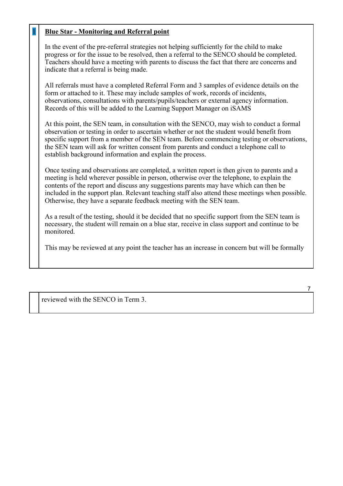# 1 **Blue Star - Monitoring and Referral point**

In the event of the pre-referral strategies not helping sufficiently for the child to make progress or for the issue to be resolved, then a referral to the SENCO should be completed. Teachers should have a meeting with parents to discuss the fact that there are concerns and indicate that a referral is being made.

All referrals must have a completed Referral Form and 3 samples of evidence details on the form or attached to it. These may include samples of work, records of incidents, observations, consultations with parents/pupils/teachers or external agency information. Records of this will be added to the Learning Support Manager on iSAMS

At this point, the SEN team, in consultation with the SENCO, may wish to conduct a formal observation or testing in order to ascertain whether or not the student would benefit from specific support from a member of the SEN team. Before commencing testing or observations, the SEN team will ask for written consent from parents and conduct a telephone call to establish background information and explain the process.

Once testing and observations are completed, a written report is then given to parents and a meeting is held wherever possible in person, otherwise over the telephone, to explain the contents of the report and discuss any suggestions parents may have which can then be included in the support plan. Relevant teaching staff also attend these meetings when possible. Otherwise, they have a separate feedback meeting with the SEN team.

As a result of the testing, should it be decided that no specific support from the SEN team is necessary, the student will remain on a blue star, receive in class support and continue to be monitored.

This may be reviewed at any point the teacher has an increase in concern but will be formally

reviewed with the SENCO in Term 3.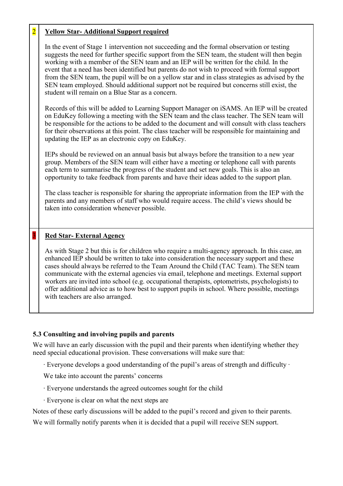# 2 **Yellow Star- Additional Support required**

In the event of Stage 1 intervention not succeeding and the formal observation or testing suggests the need for further specific support from the SEN team, the student will then begin working with a member of the SEN team and an IEP will be written for the child. In the event that a need has been identified but parents do not wish to proceed with formal support from the SEN team, the pupil will be on a yellow star and in class strategies as advised by the SEN team employed. Should additional support not be required but concerns still exist, the student will remain on a Blue Star as a concern.

Records of this will be added to Learning Support Manager on iSAMS. An IEP will be created on EduKey following a meeting with the SEN team and the class teacher. The SEN team will be responsible for the actions to be added to the document and will consult with class teachers for their observations at this point. The class teacher will be responsible for maintaining and updating the IEP as an electronic copy on EduKey.

IEPs should be reviewed on an annual basis but always before the transition to a new year group. Members of the SEN team will either have a meeting or telephone call with parents each term to summarise the progress of the student and set new goals. This is also an opportunity to take feedback from parents and have their ideas added to the support plan.

The class teacher is responsible for sharing the appropriate information from the IEP with the parents and any members of staff who would require access. The child's views should be taken into consideration whenever possible.

# 3 **Red Star- External Agency**

As with Stage 2 but this is for children who require a multi-agency approach. In this case, an enhanced IEP should be written to take into consideration the necessary support and these cases should always be referred to the Team Around the Child (TAC Team). The SEN team communicate with the external agencies via email, telephone and meetings. External support workers are invited into school (e.g. occupational therapists, optometrists, psychologists) to offer additional advice as to how best to support pupils in school. Where possible, meetings with teachers are also arranged.

#### **5.3 Consulting and involving pupils and parents**

We will have an early discussion with the pupil and their parents when identifying whether they need special educational provision. These conversations will make sure that:

∙ Everyone develops a good understanding of the pupil's areas of strength and difficulty ∙

We take into account the parents' concerns

- ∙ Everyone understands the agreed outcomes sought for the child
- ∙ Everyone is clear on what the next steps are

Notes of these early discussions will be added to the pupil's record and given to their parents.

We will formally notify parents when it is decided that a pupil will receive SEN support.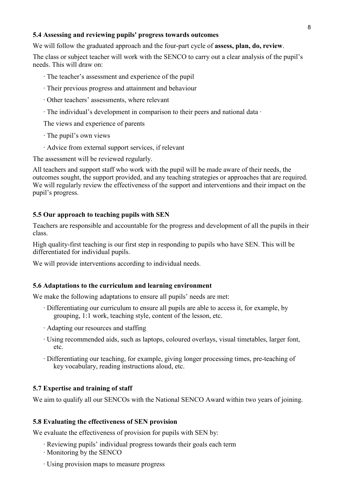#### **5.4 Assessing and reviewing pupils' progress towards outcomes**

We will follow the graduated approach and the four-part cycle of **assess, plan, do, review**.

The class or subject teacher will work with the SENCO to carry out a clear analysis of the pupil's needs. This will draw on:

- ∙ The teacher's assessment and experience of the pupil
- ∙ Their previous progress and attainment and behaviour
- ∙ Other teachers' assessments, where relevant
- ∙ The individual's development in comparison to their peers and national data ∙

The views and experience of parents

- ∙ The pupil's own views
- ∙ Advice from external support services, if relevant

The assessment will be reviewed regularly.

All teachers and support staff who work with the pupil will be made aware of their needs, the outcomes sought, the support provided, and any teaching strategies or approaches that are required. We will regularly review the effectiveness of the support and interventions and their impact on the pupil's progress.

#### **5.5 Our approach to teaching pupils with SEN**

Teachers are responsible and accountable for the progress and development of all the pupils in their class.

High quality-first teaching is our first step in responding to pupils who have SEN. This will be differentiated for individual pupils.

We will provide interventions according to individual needs.

#### **5.6 Adaptations to the curriculum and learning environment**

We make the following adaptations to ensure all pupils' needs are met:

- ∙ Differentiating our curriculum to ensure all pupils are able to access it, for example, by grouping, 1:1 work, teaching style, content of the lesson, etc.
- ∙ Adapting our resources and staffing
- ∙ Using recommended aids, such as laptops, coloured overlays, visual timetables, larger font, etc.
- ∙ Differentiating our teaching, for example, giving longer processing times, pre-teaching of key vocabulary, reading instructions aloud, etc.

#### **5.7 Expertise and training of staff**

We aim to qualify all our SENCOs with the National SENCO Award within two years of joining.

#### **5.8 Evaluating the effectiveness of SEN provision**

We evaluate the effectiveness of provision for pupils with SEN by:

- ∙ Reviewing pupils' individual progress towards their goals each term
- ∙ Monitoring by the SENCO
- ∙ Using provision maps to measure progress